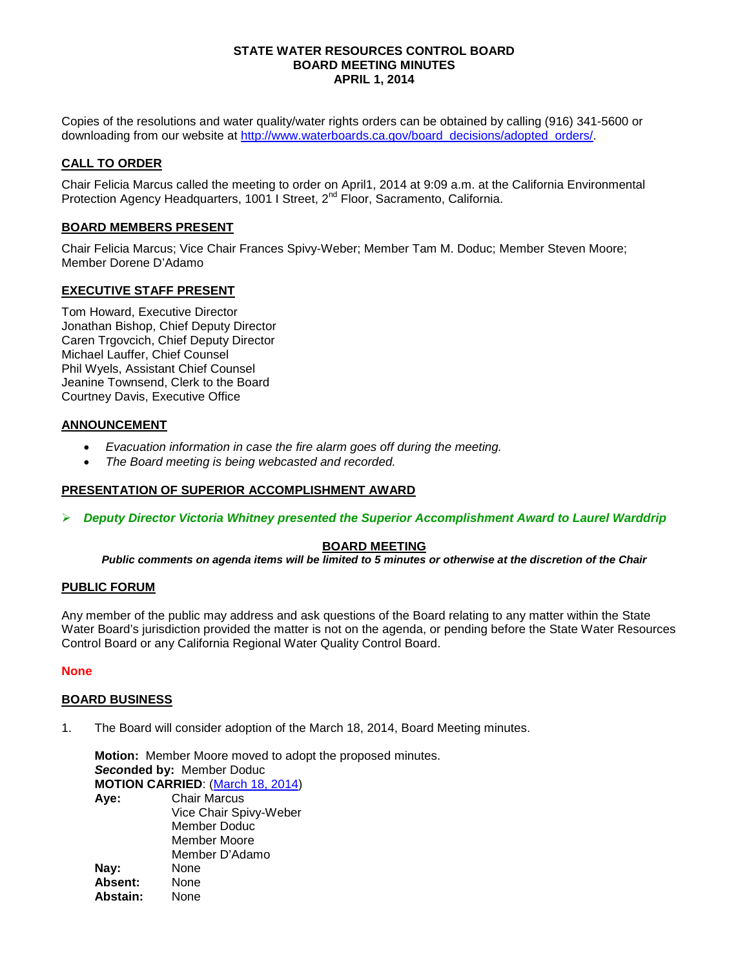### **STATE WATER RESOURCES CONTROL BOARD BOARD MEETING MINUTES APRIL 1, 2014**

Copies of the resolutions and water quality/water rights orders can be obtained by calling (916) 341-5600 or downloading from our website at [http://www.waterboards.ca.gov/board\\_decisions/adopted\\_orders/.](http://www.waterboards.ca.gov/board_decisions/adopted_orders/)

## **CALL TO ORDER**

Chair Felicia Marcus called the meeting to order on April1, 2014 at 9:09 a.m. at the California Environmental Protection Agency Headquarters, 1001 I Street, 2<sup>nd</sup> Floor, Sacramento, California.

### **BOARD MEMBERS PRESENT**

Chair Felicia Marcus; Vice Chair Frances Spivy-Weber; Member Tam M. Doduc; Member Steven Moore; Member Dorene D'Adamo

### **EXECUTIVE STAFF PRESENT**

Tom Howard, Executive Director Jonathan Bishop, Chief Deputy Director Caren Trgovcich, Chief Deputy Director Michael Lauffer, Chief Counsel Phil Wyels, Assistant Chief Counsel Jeanine Townsend, Clerk to the Board Courtney Davis, Executive Office

### **ANNOUNCEMENT**

- *Evacuation information in case the fire alarm goes off during the meeting.*
- *The Board meeting is being webcasted and recorded.*

# **PRESENTATION OF SUPERIOR ACCOMPLISHMENT AWARD**

*Deputy Director Victoria Whitney presented the Superior Accomplishment Award to Laurel Warddrip*

# **BOARD MEETING**

*Public comments on agenda items will be limited to 5 minutes or otherwise at the discretion of the Chair*

### **PUBLIC FORUM**

Any member of the public may address and ask questions of the Board relating to any matter within the State Water Board's jurisdiction provided the matter is not on the agenda, or pending before the State Water Resources Control Board or any California Regional Water Quality Control Board.

### **None**

### **BOARD BUSINESS**

1. The Board will consider adoption of the March 18, 2014, Board Meeting minutes.

**Motion:** Member Moore moved to adopt the proposed minutes. *Seco***nded by:** Member Doduc **MOTION CARRIED**: [\(March](http://www.waterboards.ca.gov/board_info/minutes/2014/mar/031814mins.pdf) 18, 2014) **Aye:** Chair Marcus Vice Chair Spivy-Weber Member Doduc Member Moore Member D'Adamo **Nay:** None<br> **Absent:** None

**Absent:** None Abstain: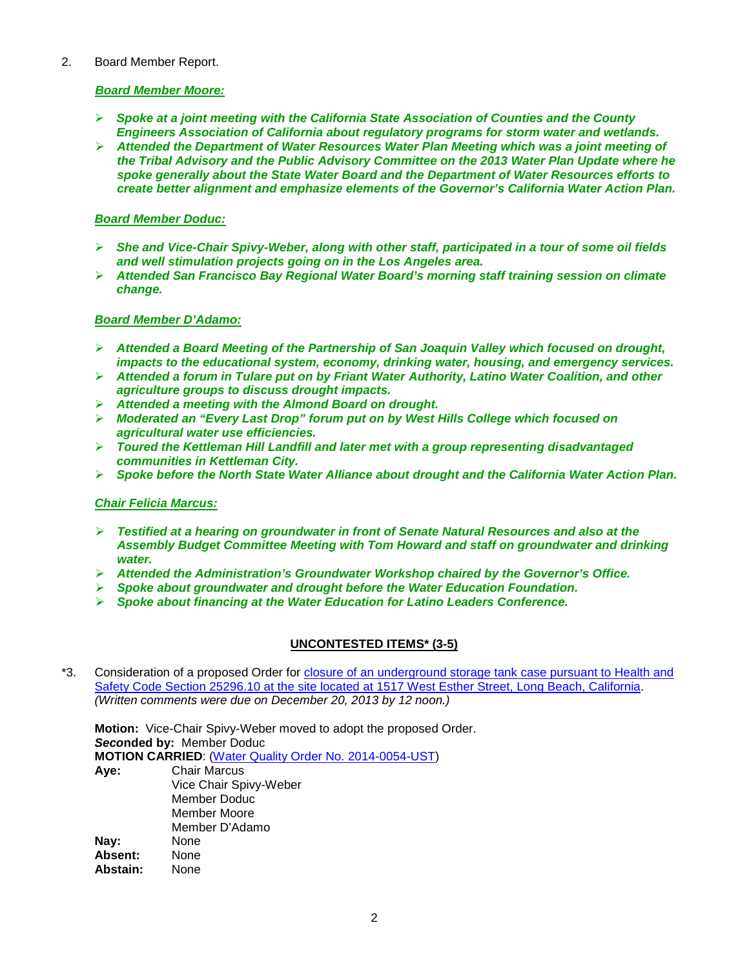### 2. Board Member Report.

### *Board Member Moore:*

- *Spoke at a joint meeting with the California State Association of Counties and the County Engineers Association of California about regulatory programs for storm water and wetlands.*
- *Attended the Department of Water Resources Water Plan Meeting which was a joint meeting of the Tribal Advisory and the Public Advisory Committee on the 2013 Water Plan Update where he spoke generally about the State Water Board and the Department of Water Resources efforts to create better alignment and emphasize elements of the Governor's California Water Action Plan.*

### *Board Member Doduc:*

- *She and Vice-Chair Spivy-Weber, along with other staff, participated in a tour of some oil fields and well stimulation projects going on in the Los Angeles area.*
- *Attended San Francisco Bay Regional Water Board's morning staff training session on climate change.*

### *Board Member D'Adamo:*

- *Attended a Board Meeting of the Partnership of San Joaquin Valley which focused on drought, impacts to the educational system, economy, drinking water, housing, and emergency services.*
- *Attended a forum in Tulare put on by Friant Water Authority, Latino Water Coalition, and other agriculture groups to discuss drought impacts.*
- *Attended a meeting with the Almond Board on drought.*
- *Moderated an "Every Last Drop" forum put on by West Hills College which focused on agricultural water use efficiencies.*
- *Toured the Kettleman Hill Landfill and later met with a group representing disadvantaged communities in Kettleman City.*
- *Spoke before the North State Water Alliance about drought and the California Water Action Plan.*

### *Chair Felicia Marcus:*

- *Testified at a hearing on groundwater in front of Senate Natural Resources and also at the Assembly Budget Committee Meeting with Tom Howard and staff on groundwater and drinking water.*
- *Attended the Administration's Groundwater Workshop chaired by the Governor's Office.*
- *Spoke about groundwater and drought before the Water Education Foundation.*
- *Spoke about financing at the Water Education for Latino Leaders Conference.*

# **UNCONTESTED ITEMS\* (3-5)**

\*3. Consideration of a proposed Order for [closure of an underground storage tank case pursuant to Health and](http://www.waterboards.ca.gov/board_info/agendas/2014/apr/040114_3_withdo.pdf)  [Safety Code Section 25296.10 at the site located at 1517 West Esther Street, Long Beach, California.](http://www.waterboards.ca.gov/board_info/agendas/2014/apr/040114_3_withdo.pdf) *(Written comments were due on December 20, 2013 by 12 noon.)*

**Motion:** Vice-Chair Spivy-Weber moved to adopt the proposed Order. *Seco***nded by:** Member Doduc **MOTION CARRIED**: [\(Water Quality Order No. 2014-0054-UST\)](http://www.waterboards.ca.gov/board_decisions/adopted_orders/water_quality/2014/wqo2014_0054_ust_with%20summary.pdf) **Aye:** Chair Marcus Vice Chair Spivy-Weber Member Doduc Member Moore Member D'Adamo<br>None **Nay:** None<br> **Absent:** None **Absent:** None<br>**Abstain:** None Abstain: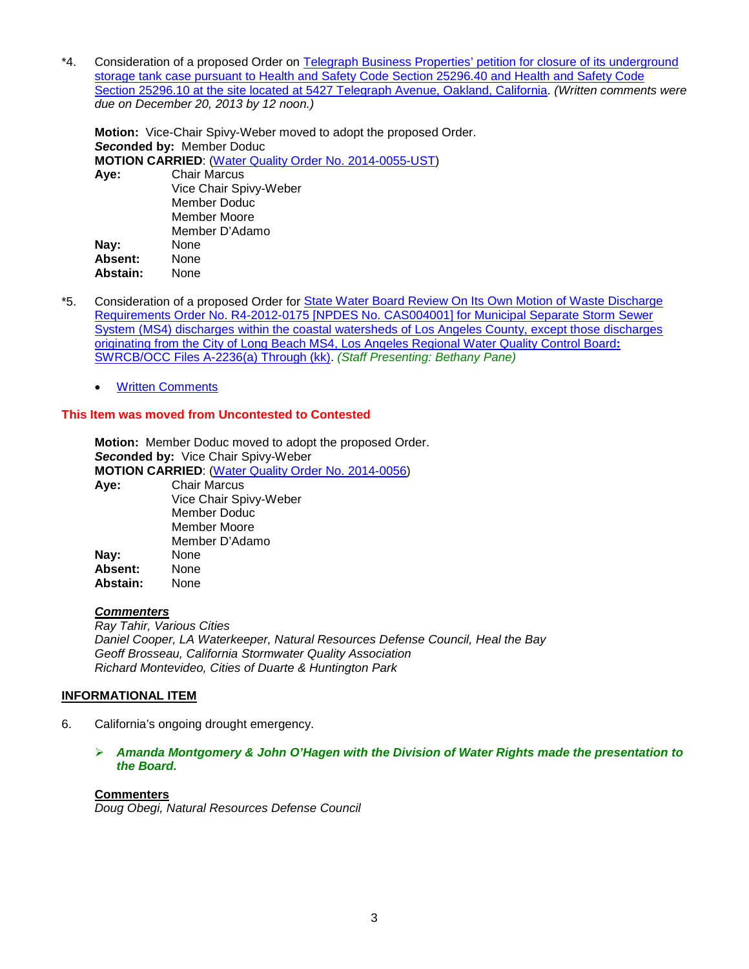\*4. Consideration of a proposed Order on [Telegraph Business Properties' petition for closure of its underground](http://www.waterboards.ca.gov/board_info/agendas/2014/apr/040114_4_withdo.pdf)  [storage tank case pursuant to Health and Safety Code Section 25296.40 and Health and Safety Code](http://www.waterboards.ca.gov/board_info/agendas/2014/apr/040114_4_withdo.pdf)  [Section 25296.10 at the site located at 5427 Telegraph Avenue, Oakland, California.](http://www.waterboards.ca.gov/board_info/agendas/2014/apr/040114_4_withdo.pdf) *(Written comments were due on December 20, 2013 by 12 noon.)*

**Motion:** Vice-Chair Spivy-Weber moved to adopt the proposed Order. *Seco***nded by:** Member Doduc **MOTION CARRIED**: [\(Water Quality Order No. 2014-0055-UST\)](http://www.waterboards.ca.gov/board_decisions/adopted_orders/water_quality/2014/wqo2014_0055_ust_with%20summary.pdf) **Aye:** Chair Marcus Vice Chair Spivy-Weber Member Doduc Member Moore

Member D'Adamo **Nay:** None<br>**Absent:** None **Absent:** None Abstain:

- \*5. Consideration of a proposed Order for [State Water Board Review On Its Own Motion of Waste Discharge](http://www.waterboards.ca.gov/board_info/agendas/2014/apr/040114_5_withdo.pdf)  [Requirements Order No. R4-2012-0175 \[NPDES No. CAS004001\] for Municipal Separate Storm Sewer](http://www.waterboards.ca.gov/board_info/agendas/2014/apr/040114_5_withdo.pdf)  [System \(MS4\) discharges within the coastal watersheds of Los Angeles County, except those discharges](http://www.waterboards.ca.gov/board_info/agendas/2014/apr/040114_5_withdo.pdf)  [originating from the City of Long Beach MS4, Los Angeles Regional Water Quality Control Board](http://www.waterboards.ca.gov/board_info/agendas/2014/apr/040114_5_withdo.pdf)**:** [SWRCB/OCC Files A-2236\(a\) Through \(kk\).](http://www.waterboards.ca.gov/board_info/agendas/2014/apr/040114_5_withdo.pdf) *(Staff Presenting: Bethany Pane)*
	- [Written Comments](http://www.waterboards.ca.gov/board_info/agendas/2014/apr/commenters_040114_5.pdf)

# **This Item was moved from Uncontested to Contested**

**Motion:** Member Doduc moved to adopt the proposed Order. *Seco***nded by:** Vice Chair Spivy-Weber **MOTION CARRIED**: [\(Water Quality Order No. 2014-0056\)](http://www.waterboards.ca.gov/board_decisions/adopted_orders/water_quality/2014/wqo2014_0056.pdf) **Aye:** Chair Marcus Vice Chair Spivy-Weber Member Doduc Member Moore Member D'Adamo **Nay:** None **Absent:** None Abstain:

### *Commenters*

*Ray Tahir, Various Cities Daniel Cooper, LA Waterkeeper, Natural Resources Defense Council, Heal the Bay Geoff Brosseau, California Stormwater Quality Association Richard Montevideo, Cities of Duarte & Huntington Park*

### **INFORMATIONAL ITEM**

- 6. California's ongoing drought emergency.
	- *Amanda Montgomery & John O'Hagen with the Division of Water Rights made the presentation to the Board.*

### **Commenters**

*Doug Obegi, Natural Resources Defense Council*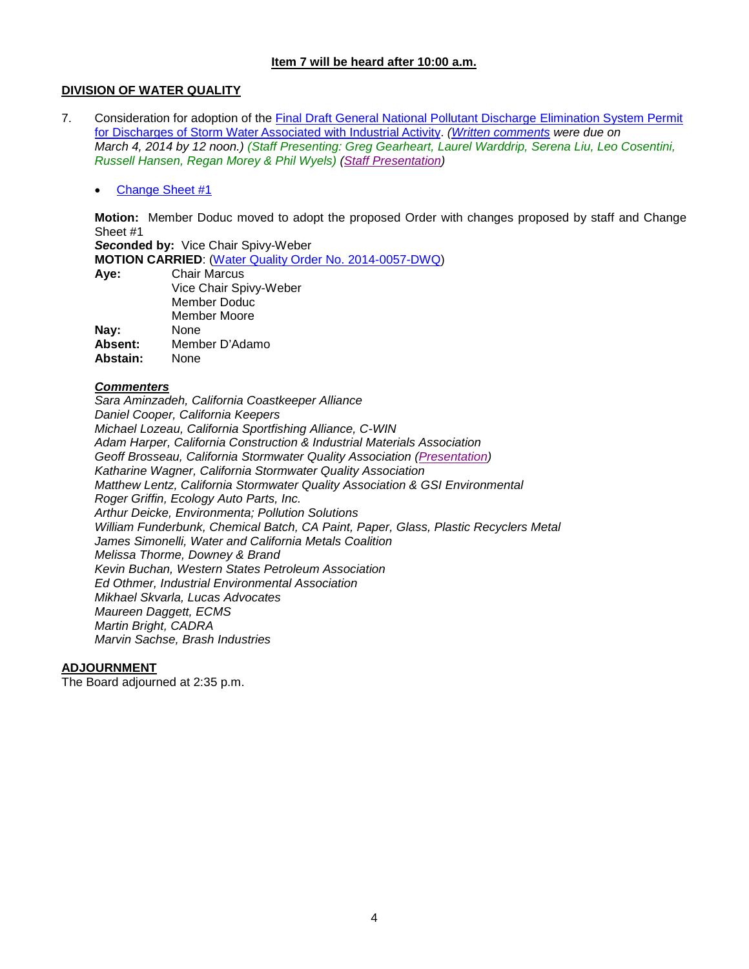### **Item 7 will be heard after 10:00 a.m.**

## **DIVISION OF WATER QUALITY**

7. Consideration for adoption of the [Final Draft General National Pollutant Discharge Elimination System Permit](http://www.waterboards.ca.gov/board_info/agendas/2014/apr/040114_7.pdf)  [for Discharges of Storm Water Associated with Industrial Activity.](http://www.waterboards.ca.gov/board_info/agendas/2014/apr/040114_7.pdf) *[\(Written comments](http://www.waterboards.ca.gov/water_issues/programs/stormwater/comments_industrial_permit.shtml) were due on March 4, 2014 by 12 noon.) (Staff Presenting: Greg Gearheart, Laurel Warddrip, Serena Liu, Leo Cosentini, Russell Hansen, Regan Morey & Phil Wyels) [\(Staff Presentation\)](http://www.waterboards.ca.gov/board_info/minutes/2014/apr/040114_7staff_pres.pdf)*

• [Change Sheet #1](http://www.swrcb.ca.gov/water_issues/programs/stormwater/docs/industrial_permitdocs/3262014_change_sheet_igp.pdf)

**Motion:** Member Doduc moved to adopt the proposed Order with changes proposed by staff and Change Sheet #1

*Seco***nded by:** Vice Chair Spivy-Weber

**MOTION CARRIED**: [\(Water Quality Order No. 2014-0057-DWQ\)](http://www.waterboards.ca.gov/board_decisions/adopted_orders/water_quality/2014/wqo2014_0057_dwq.pdf)<br>**Aye:** Chair Marcus

**Aye:** Chair Marcus

|          | Vice Chair Spivy-Weber |
|----------|------------------------|
|          | Member Doduc           |
|          | <b>Member Moore</b>    |
| Nay:     | None                   |
| Absent:  | Member D'Adamo         |
| Abstain: | None                   |

### *Commenters*

*Sara Aminzadeh, California Coastkeeper Alliance Daniel Cooper, California Keepers Michael Lozeau, California Sportfishing Alliance, C-WIN Adam Harper, California Construction & Industrial Materials Association Geoff Brosseau, California Stormwater Quality Association [\(Presentation\)](http://www.waterboards.ca.gov/board_info/minutes/2014/apr/040114_7casqa_pres.pdf) Katharine Wagner, California Stormwater Quality Association Matthew Lentz, California Stormwater Quality Association & GSI Environmental Roger Griffin, Ecology Auto Parts, Inc. Arthur Deicke, Environmenta; Pollution Solutions William Funderbunk, Chemical Batch, CA Paint, Paper, Glass, Plastic Recyclers Metal James Simonelli, Water and California Metals Coalition Melissa Thorme, Downey & Brand Kevin Buchan, Western States Petroleum Association Ed Othmer, Industrial Environmental Association Mikhael Skvarla, Lucas Advocates Maureen Daggett, ECMS Martin Bright, CADRA Marvin Sachse, Brash Industries*

### **ADJOURNMENT**

The Board adjourned at 2:35 p.m.